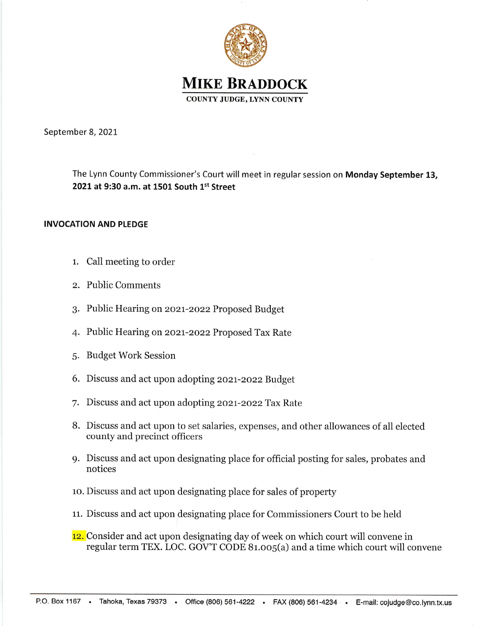

September 8, 2021

The Lynn County Commissioner's Court will meet in regular session on Monday September 13, 2021 at 9:30 a.m. at 1501 South 1st Street

## INVOCATION AND PLEDGE

- 1. Call meeting to order
- 2. Public Comments
- 3. Public Hearing on 2o27-2ozz Proposed Budget
- 4. Public Hearing on 2o21-2ozz Proposed Tax Rate
- 5. Budget Work Session
- 6. Discuss and act upon adopting 2o2t-2o22 Budget
- 7. Discuss and act upon adopting 2021-2022 Tax Rate
- B. Discuss and act upon to set salaries, expenses, and other allowances of all elected county and precinct officers
- 9. Discuss and act upon designating place for officiai posting for sales, probates and notices
- 10. Discuss and act upon designating place for sales of property
- 11. Discuss and act upon designating place for Commissioners Court to be held
- 12. Consider and act upon designating day of week on which court will convene in regular term TEX. LOC. GOV'T CODE 81.005(a) and a time which court will convene